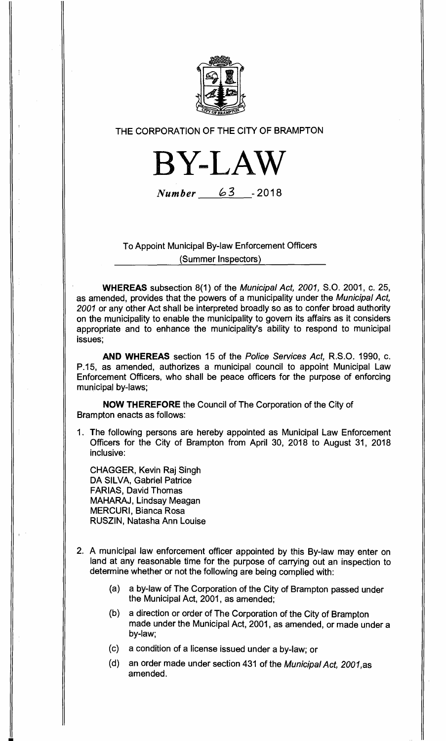

## THE CORPORATION OF THE CITY OF BRAMPTON



Number 3 **-2018** 

## To Appoint Municipal By-law Enforcement Officers (Summer Inspectors)

**WHEREAS** subsection 8(1) of the Municipal Act, 2001, S.O. 2001, c. 25, as amended, provides that the powers of a municipality under the Municipal Act, 2001 or any other Act shall be interpreted broadly so as to confer broad authority on the municipality to enable the municipality to govern its affairs as it considers appropriate and to enhance the municipality's ability to respond to municipal issues;

**AND WHEREAS** section 15 of the Police Services Act, R.S.O. 1990, c. P.15, as amended, authorizes a municipal council to appoint Municipal Law Enforcement Officers, who shall be peace officers for the purpose of enforcing municipal by-laws;

**NOW THEREFORE** the Council of The Corporation of the City of Brampton enacts as follows:

1. The following persons are hereby appointed as Municipal Law Enforcement Officers for the City of Brampton from April 30, 2018 to August 31, 2018 inclusive:

CHAGGER, Kevin Raj Singh DA SILVA, Gabriel Patrice FARIAS, David Thomas MAHARAJ, Lindsay Meagan MERCURI, Bianca Rosa RUSZIN, Natasha Ann Louise

- 2. A municipal law enforcement officer appointed by this By-law may enter on land at any reasonable time for the purpose of carrying out an inspection to determine whether or not the following are being complied with:
	- (a) a by-law of The Corporation of the City of Brampton passed under the Municipal Act, 2001, as amended;
	- (b) a direction or order of The Corporation of the City of Brampton made under the Municipal Act, 2001, as amended, or made under a by-law;
	- (c) a condition of a license issued under a by-law; or
	- (d) an order made under section 431 of the Municipal Act, 2001,as amended.